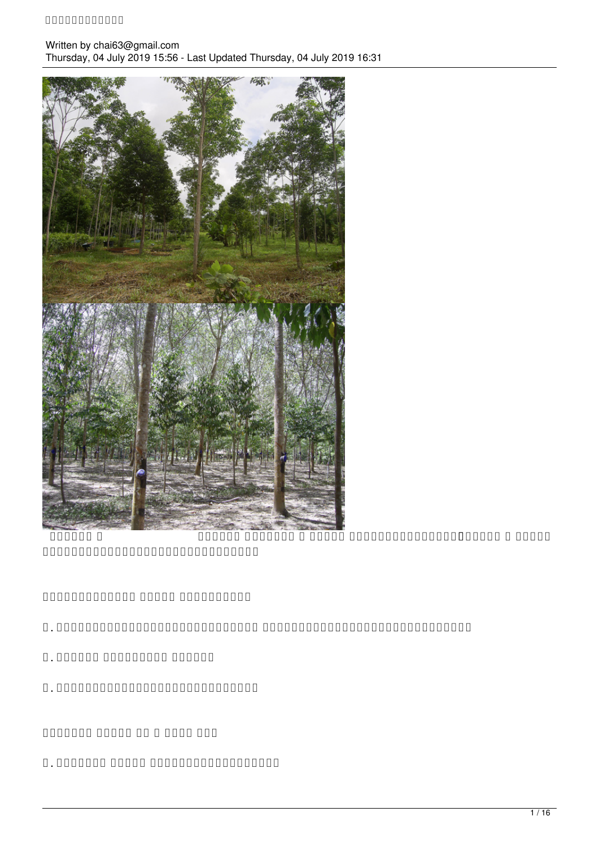#### **การปลูกกฤษณา**

Written by chai63@gmail.com Thursday, 04 July 2019 15:56 - Last Updated Thursday, 04 July 2019 16:31



 รูปที่ ๑ รูปที่ ๒ รูปที่ ๑ กฤษณา ปลูกพร้อมยางพารา รูปที่ ๒ กฤษณา ปลูกหลังจากยางพาราเปิดกรีดแล้ว

 $\begin{array}{l} \texttt{OOOOOOOOOOO} \end{array} \begin{array}{l} \texttt{OOOOOOOOO} \end{array} \begin{array}{l} \texttt{OOOOOOOOO} \end{array}$ 

- ๑. เจริญเติบโตได้ดีภายใต้ร่มเงา ใบไหม้ได้ง่ายในสภาพอากาศร้อนๆ
- ๒. ชอบน้ำ แต่ไม่ชอบ น้ำขัง
- ๓. เป็นไม้ที่เจริญเติบโตได้เร็ว

 $n$ กกกกกก กกกก กกก กกกก กกก

๑. การปลูก กฤษณา ในพื้นที่ว่างเปล่า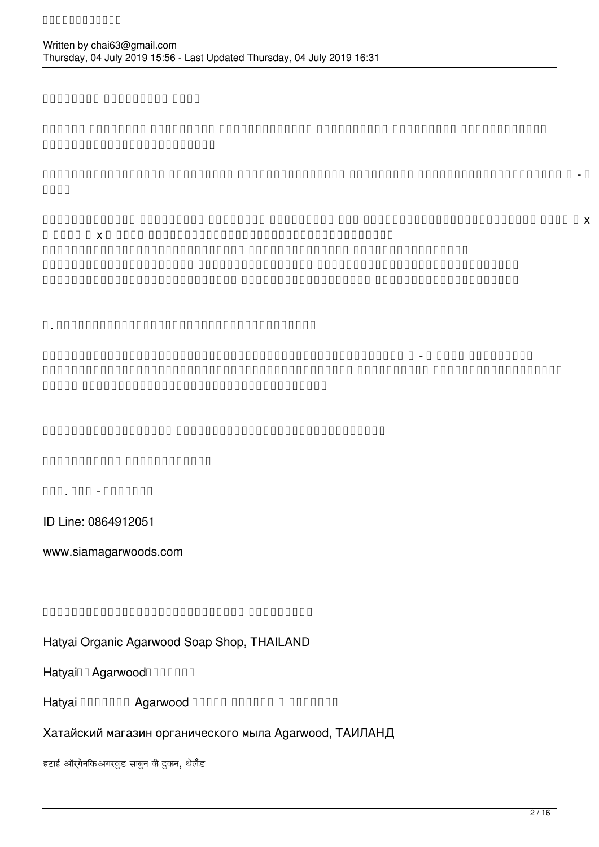## mannann noonnann noon

ถามว่า ต้องปลูก ไม้ร่มเงา ก่อนนานแค่ไหน ขึ้นกับว่า ไม้ร่มเงา ที่เลือกนั้น เจติด เจติด เจติด เจติด เจติด เจติด เจติด เจติด เจติด เจติด เจติด เจติด เจติด เจติด เ

 $n=1$  การปลูกทุกการปลูก ทุกการปลูก ทุกการปลูกทุกการปลูก ทุกการปลูก ทุกการปลูกทุกการปลูก ทุก เมตร

เทคนิคการเร่ง ไม้ร่มเงา ที่โตช้า ให้โตเร็ว คือ ปลูกไม้ร่มเงาให้ชิดหน่อย เช่น ๓ x ๓ หรือ ๔ x ๔ เมตร เมื่อได้ไม้ร่มเงาที่สูงพอสมควรแล้ว ก็ทำการปลูกกฤษณาลงระหว่างแถว ด้วยระยะที่ถี่ เมื่อกฤษณาโตเร็ว ไม้ร่ามเงาที่โตชีวเอง เพื่อไม่ไม่ร่วมเงาที่โตชีวเอง เพื่อไม่ให้การที่เพิ่มเงา จะต้องเร่งตัวเอง เพื่อไม่ให้การท ธรรมชาติของพืชที่ต้องการแสง ต้องแข่งกันแย่งแสง แต่กฤษณาเขาชอบร่มเงา

## ้ท. กกกกกกกกกกกกกกกกกกกกกกกกกกกกกกกกก

ให้ทำการปลูกกฤษณาให้ห่างจากไม้ใหญ่ที่มีอยู่แล้วสัก ๒ - ๔ เมตร ไปเรื่อยๆ ให้มีพื้นที่ว่างเพื่อการเจริญเติบโตของกฤษณา ใกล้เกินไป กฤษณาก็จะโตไม่ขึ้น เพราะ ถูกไม้ใหญ่ข่มแย่งพื้นที่ในดินไปหมด

ไม่กระจ่างประการเพิ่มเติมได้ ขอข้อมูลเพิ่มเติมได้โดยตรายการใด ขอข้อมูลเพิ่มเติมได้โดยตรายการใด ขอข้อมูลเพิ่มเต

นายเที่ยวกับกายเที่ยวกับของคุณภาพ

 $\Box \Box \Box \Box \Box \Box \Box \Box \Box \Box \Box \Box \Box \Box \Box \Box \Box \Box$ 

ID Line: 0864912051

www.siamagarwoods.com

## กกกกกกกกกกกกกกกกกกกกกกกกกกกกกกกกก

## Hatyai Organic Agarwood Soap Shop, THAILAND

Hatyainn Agarwood

Hatyai **DODDDD** Agarwood DODDD DODDDD D DODDDDD

### Хатайский магазин органического мыла Agarwood, ТАИЛАНД

हटाई ऑरगेनकि अगरवड साबन की दकन, थेलैंड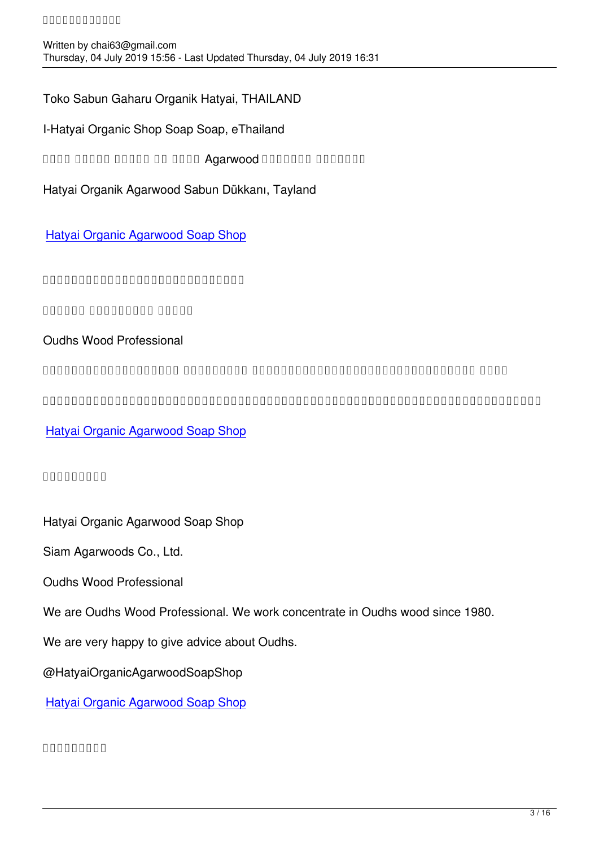Toko Sabun Gaharu Organik Hatyai, THAILAND

I-Hatyai Organic Shop Soap Soap, eThailand

ando dondo dondo do dond Agarwood Dondono dondono

Hatyai Organik Agarwood Sabun Dükkanı, Tayland

Hatyai Organic Agarwood Soap Shop

กกกกกกกกกกกกกกกกกกกกกกกก

บริษัท กฤษณาสยาม จำกัด

Oudhs Wood Professional

มีความเชี่ยวชาญด้าน ไม้กฤษณาม เราทำงานด้านไม้กฤษณามาตั้งแต่ปี ๒๕๒๓

เรายินดีและมีความสุขที่ได้ให้การช่วยเหลือด้านความรู้เกี่ยวกับไม้กฤษณา

Hatyai Organic Agarwood Soap Shop

# [๙๙๙๙๙๙๙๙๙](https://www.facebook.com/media/set/?set=a.2554456584579115&type=3&__xts__%5B0%5D=68.ARAj4AS_66qj9BCtW46lKf5_m-IFRqNrDbjOunz9huX0-Q7Yvnvt4_bx8lh60rOYQeHmrhkNlIsdUFmLGT814t8hXxxjs2qCONaU6NszrCLXnt7-09Gd2ws5vyxz8DA5QPA-7qXwr6DXATekYOof6_SHpBlz6p065sPnAD8MaQSaGt8_WhttnZ1PaVhqqyo5C5scv-2y1bdki7AZNmcSkcPAPRbqyOwqNWyvvS41FJlqmSPFL2lu5SEPeYDHUEDZq6B3UDNQSOKtCKib4uHEqcOj_bJHGURYsGJLRm7bAviye1TM5SN4W7JBd3mEXr8aqDW65f5z2opbbMejtNgBo8tjIZHV3IqCUUDNpNVXWobI4Ac39sLU4rJdoOXLSVj7xP4KRHhOxevtRwWF-zlm5HrEj6mU7LIXCuakPbxtP4JkbQWA94LgUtSbSiL0r8lNEV9vCRTEJOpkCQ8&__tn__=-UC-R)

Hatyai Organic Agarwood Soap Shop

Siam Agarwoods Co., Ltd.

Oudhs Wood Professional

We are Oudhs Wood Professional. We work concentrate in Oudhs wood since 1980.

We are very happy to give advice about Oudhs.

@HatyaiOrganicAgarwoodSoapShop

Hatyai Organic Agarwood Soap Shop

[๙๙๙๙๙๙๙๙๙](https://www.facebook.com/media/set/?set=a.2554456584579115&type=3&__xts__%5B0%5D=68.ARAj4AS_66qj9BCtW46lKf5_m-IFRqNrDbjOunz9huX0-Q7Yvnvt4_bx8lh60rOYQeHmrhkNlIsdUFmLGT814t8hXxxjs2qCONaU6NszrCLXnt7-09Gd2ws5vyxz8DA5QPA-7qXwr6DXATekYOof6_SHpBlz6p065sPnAD8MaQSaGt8_WhttnZ1PaVhqqyo5C5scv-2y1bdki7AZNmcSkcPAPRbqyOwqNWyvvS41FJlqmSPFL2lu5SEPeYDHUEDZq6B3UDNQSOKtCKib4uHEqcOj_bJHGURYsGJLRm7bAviye1TM5SN4W7JBd3mEXr8aqDW65f5z2opbbMejtNgBo8tjIZHV3IqCUUDNpNVXWobI4Ac39sLU4rJdoOXLSVj7xP4KRHhOxevtRwWF-zlm5HrEj6mU7LIXCuakPbxtP4JkbQWA94LgUtSbSiL0r8lNEV9vCRTEJOpkCQ8&__tn__=-UC-R)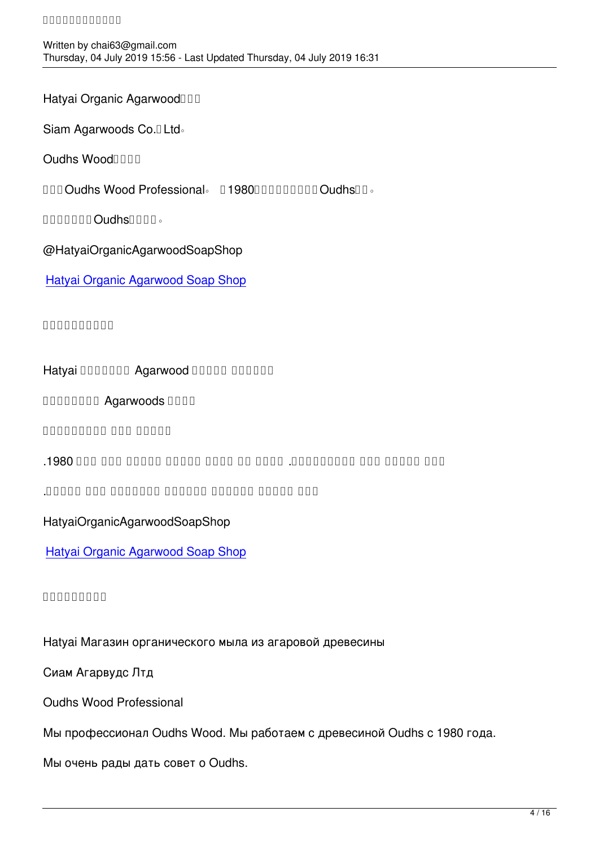Hatyai Organic Agarwood

Siam Agarwoods Co.<sup>[]</sup> Ltd<sup>®</sup>

Oudhs Wood

 $\Pi\Pi\Pi$ Oudhs Wood Professional。  $\Pi$ 1980 $\Pi\Pi\Pi\Pi\Pi\Pi\Pi\Pi$ Oudhs $\Pi\circ$ 

**DOUDDDO OudhsEDDD**.

@HatyaiOrganicAgarwoodSoapShop

Hatyai Organic Agarwood Soap Shop

[๙๙๙๙๙๙๙๙๙๙](https://www.facebook.com/media/set/?set=a.2554456584579115&type=3&__xts__%5B0%5D=68.ARAj4AS_66qj9BCtW46lKf5_m-IFRqNrDbjOunz9huX0-Q7Yvnvt4_bx8lh60rOYQeHmrhkNlIsdUFmLGT814t8hXxxjs2qCONaU6NszrCLXnt7-09Gd2ws5vyxz8DA5QPA-7qXwr6DXATekYOof6_SHpBlz6p065sPnAD8MaQSaGt8_WhttnZ1PaVhqqyo5C5scv-2y1bdki7AZNmcSkcPAPRbqyOwqNWyvvS41FJlqmSPFL2lu5SEPeYDHUEDZq6B3UDNQSOKtCKib4uHEqcOj_bJHGURYsGJLRm7bAviye1TM5SN4W7JBd3mEXr8aqDW65f5z2opbbMejtNgBo8tjIZHV3IqCUUDNpNVXWobI4Ac39sLU4rJdoOXLSVj7xP4KRHhOxevtRwWF-zlm5HrEj6mU7LIXCuakPbxtP4JkbQWA94LgUtSbSiL0r8lNEV9vCRTEJOpkCQ8&__tn__=-UC-R)

Hatyai DOODOO Agarwood DOODO DOODOO

DOODOOO Agarwoods DOOD

العود وود بروفيشنال

نحن العود وود بروفيشنال. نعمل في مركز العود للخشب منذ عام .1980

نحن سعداء للمسعداء للغاية للمشورة للغاية العودي.

HatyaiOrganicAgarwoodSoapShop

Hatyai Organic Agarwood Soap Shop

[๙๙๙๙๙๙๙๙๙](https://www.facebook.com/media/set/?set=a.2554456584579115&type=3&__xts__%5B0%5D=68.ARAj4AS_66qj9BCtW46lKf5_m-IFRqNrDbjOunz9huX0-Q7Yvnvt4_bx8lh60rOYQeHmrhkNlIsdUFmLGT814t8hXxxjs2qCONaU6NszrCLXnt7-09Gd2ws5vyxz8DA5QPA-7qXwr6DXATekYOof6_SHpBlz6p065sPnAD8MaQSaGt8_WhttnZ1PaVhqqyo5C5scv-2y1bdki7AZNmcSkcPAPRbqyOwqNWyvvS41FJlqmSPFL2lu5SEPeYDHUEDZq6B3UDNQSOKtCKib4uHEqcOj_bJHGURYsGJLRm7bAviye1TM5SN4W7JBd3mEXr8aqDW65f5z2opbbMejtNgBo8tjIZHV3IqCUUDNpNVXWobI4Ac39sLU4rJdoOXLSVj7xP4KRHhOxevtRwWF-zlm5HrEj6mU7LIXCuakPbxtP4JkbQWA94LgUtSbSiL0r8lNEV9vCRTEJOpkCQ8&__tn__=-UC-R)

Hatyai Магазин органического мыла из агаровой древесины

Сиам Агарвудс Лтд

Oudhs Wood Professional

Мы профессионал Oudhs Wood. Мы работаем с древесиной Oudhs с 1980 года.

Мы очень рады дать совет о Oudhs.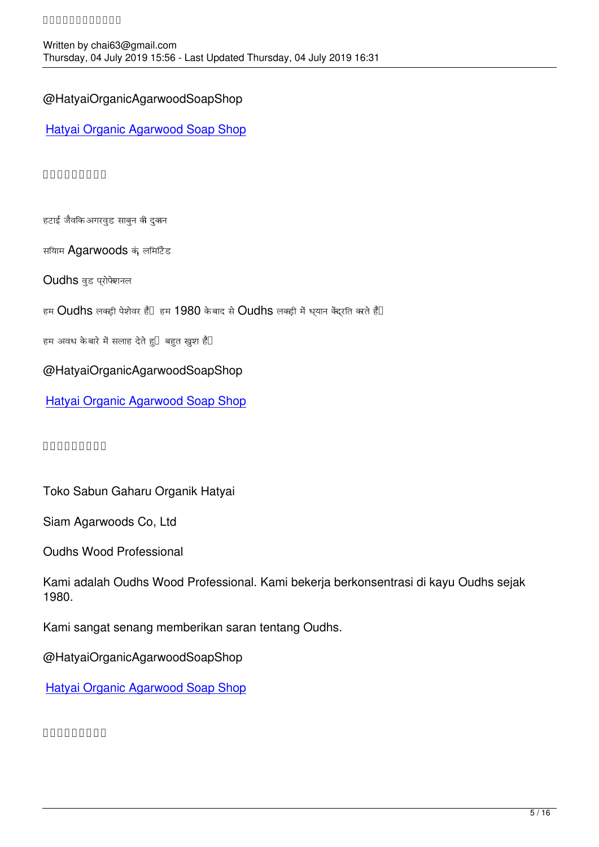## @HatyaiOrganicAgarwoodSoapShop

Hatyai Organic Agarwood Soap Shop

#### [๙๙๙๙๙๙๙๙๙](https://www.facebook.com/media/set/?set=a.2554456584579115&type=3&__xts__%5B0%5D=68.ARAj4AS_66qj9BCtW46lKf5_m-IFRqNrDbjOunz9huX0-Q7Yvnvt4_bx8lh60rOYQeHmrhkNlIsdUFmLGT814t8hXxxjs2qCONaU6NszrCLXnt7-09Gd2ws5vyxz8DA5QPA-7qXwr6DXATekYOof6_SHpBlz6p065sPnAD8MaQSaGt8_WhttnZ1PaVhqqyo5C5scv-2y1bdki7AZNmcSkcPAPRbqyOwqNWyvvS41FJlqmSPFL2lu5SEPeYDHUEDZq6B3UDNQSOKtCKib4uHEqcOj_bJHGURYsGJLRm7bAviye1TM5SN4W7JBd3mEXr8aqDW65f5z2opbbMejtNgBo8tjIZHV3IqCUUDNpNVXWobI4Ac39sLU4rJdoOXLSVj7xP4KRHhOxevtRwWF-zlm5HrEj6mU7LIXCuakPbxtP4JkbQWA94LgUtSbSiL0r8lNEV9vCRTEJOpkCQ8&__tn__=-UC-R)

हटाई जैविक अगरवुड साबुन की दुकान

सियाम Agarwoods कं, लिमिटेड

Oudhs वुड प्रोफेशनल

हम  $O$ udhs लक्ड़ी पेशेवर हैं $\Box$  हम  $1980$  के बाद से  $O$ udhs लक्ड़ी में ध्यान केंद्रति करते है $\Box$ 

हम अवध केबारे में सलाह देते हु $\Box$  बहुत खुश हैं $\Box$ 

### @HatyaiOrganicAgarwoodSoapShop

Hatyai Organic Agarwood Soap Shop

 $\begin{array}{c} \texttt{minminmin} \end{array}$ 

Toko Sabun Gaharu Organik Hatyai

Siam Agarwoods Co, Ltd

Oudhs Wood Professional

Kami adalah Oudhs Wood Professional. Kami bekerja berkonsentrasi di kayu Oudhs sejak 1980.

Kami sangat senang memberikan saran tentang Oudhs.

@HatyaiOrganicAgarwoodSoapShop

Hatyai Organic Agarwood Soap Shop

[๙๙๙๙๙๙๙๙๙](https://www.facebook.com/media/set/?set=a.2554456584579115&type=3&__xts__%5B0%5D=68.ARAj4AS_66qj9BCtW46lKf5_m-IFRqNrDbjOunz9huX0-Q7Yvnvt4_bx8lh60rOYQeHmrhkNlIsdUFmLGT814t8hXxxjs2qCONaU6NszrCLXnt7-09Gd2ws5vyxz8DA5QPA-7qXwr6DXATekYOof6_SHpBlz6p065sPnAD8MaQSaGt8_WhttnZ1PaVhqqyo5C5scv-2y1bdki7AZNmcSkcPAPRbqyOwqNWyvvS41FJlqmSPFL2lu5SEPeYDHUEDZq6B3UDNQSOKtCKib4uHEqcOj_bJHGURYsGJLRm7bAviye1TM5SN4W7JBd3mEXr8aqDW65f5z2opbbMejtNgBo8tjIZHV3IqCUUDNpNVXWobI4Ac39sLU4rJdoOXLSVj7xP4KRHhOxevtRwWF-zlm5HrEj6mU7LIXCuakPbxtP4JkbQWA94LgUtSbSiL0r8lNEV9vCRTEJOpkCQ8&__tn__=-UC-R)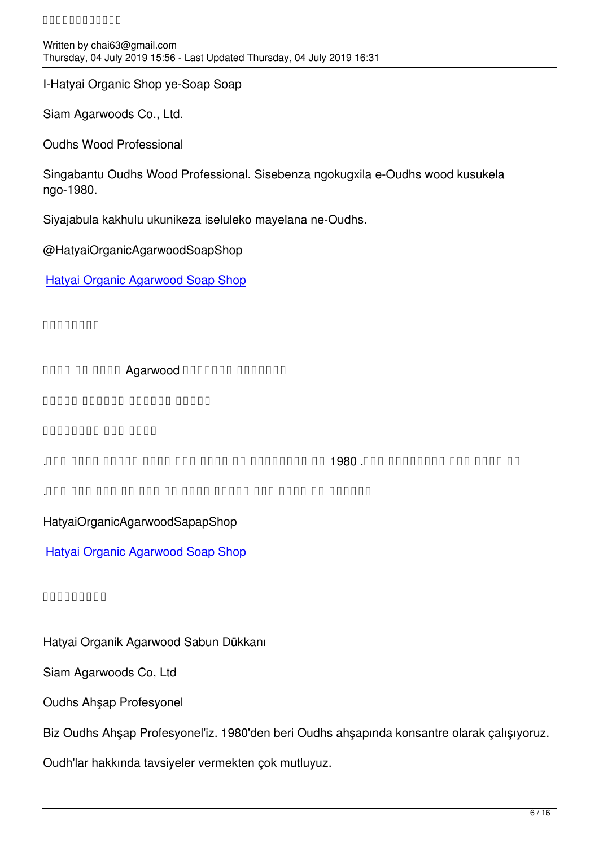written by chaif  $\mathcal{L}$  and  $\mathcal{L}$  and  $\mathcal{L}$  and  $\mathcal{L}$  and  $\mathcal{L}$  and  $\mathcal{L}$  and  $\mathcal{L}$  and  $\mathcal{L}$  and  $\mathcal{L}$  and  $\mathcal{L}$  and  $\mathcal{L}$  and  $\mathcal{L}$  and  $\mathcal{L}$  and  $\mathcal{L}$  and  $\mathcal{L}$  and  $\mathcal{L}$  a Thursday, 04 July 2019 15:56 - Last Updated Thursday, 04 July 2019 16:31

I-Hatyai Organic Shop ye-Soap Soap

Siam Agarwoods Co., Ltd.

Oudhs Wood Professional

Singabantu Oudhs Wood Professional. Sisebenza ngokugxila e-Oudhs wood kusukela ngo-1980.

Siyajabula kakhulu ukunikeza iseluleko mayelana ne-Oudhs.

@HatyaiOrganicAgarwoodSoapShop

Hatyai Organic Agarwood Soap Shop

[๙๙๙๙๙๙๙๙](https://www.facebook.com/media/set/?set=a.2554456584579115&type=3&__xts__%5B0%5D=68.ARAj4AS_66qj9BCtW46lKf5_m-IFRqNrDbjOunz9huX0-Q7Yvnvt4_bx8lh60rOYQeHmrhkNlIsdUFmLGT814t8hXxxjs2qCONaU6NszrCLXnt7-09Gd2ws5vyxz8DA5QPA-7qXwr6DXATekYOof6_SHpBlz6p065sPnAD8MaQSaGt8_WhttnZ1PaVhqqyo5C5scv-2y1bdki7AZNmcSkcPAPRbqyOwqNWyvvS41FJlqmSPFL2lu5SEPeYDHUEDZq6B3UDNQSOKtCKib4uHEqcOj_bJHGURYsGJLRm7bAviye1TM5SN4W7JBd3mEXr8aqDW65f5z2opbbMejtNgBo8tjIZHV3IqCUUDNpNVXWobI4Ac39sLU4rJdoOXLSVj7xP4KRHhOxevtRwWF-zlm5HrEj6mU7LIXCuakPbxtP4JkbQWA94LgUtSbSiL0r8lNEV9vCRTEJOpkCQ8&__tn__=-UC-R)

and on only Agarwood and and and and the state of the state of the state of the state of the state of the stat

mana ananan nanan nanan

0000000 000 0000

<u>הם מחתם מחם מתחמתמתם מחם. 1980 מם מתחמתמתם מה</u> מחתם מחתם המחת המחם מחת.

احتمال میں مشورہ کی مشورہ میں مشورہ میں مشور کے لئے ہیں.

HatyaiOrganicAgarwoodSapapShop

Hatyai Organic Agarwood Soap Shop

[๙๙๙๙๙๙๙๙๙](https://www.facebook.com/media/set/?set=a.2554456584579115&type=3&__xts__%5B0%5D=68.ARAj4AS_66qj9BCtW46lKf5_m-IFRqNrDbjOunz9huX0-Q7Yvnvt4_bx8lh60rOYQeHmrhkNlIsdUFmLGT814t8hXxxjs2qCONaU6NszrCLXnt7-09Gd2ws5vyxz8DA5QPA-7qXwr6DXATekYOof6_SHpBlz6p065sPnAD8MaQSaGt8_WhttnZ1PaVhqqyo5C5scv-2y1bdki7AZNmcSkcPAPRbqyOwqNWyvvS41FJlqmSPFL2lu5SEPeYDHUEDZq6B3UDNQSOKtCKib4uHEqcOj_bJHGURYsGJLRm7bAviye1TM5SN4W7JBd3mEXr8aqDW65f5z2opbbMejtNgBo8tjIZHV3IqCUUDNpNVXWobI4Ac39sLU4rJdoOXLSVj7xP4KRHhOxevtRwWF-zlm5HrEj6mU7LIXCuakPbxtP4JkbQWA94LgUtSbSiL0r8lNEV9vCRTEJOpkCQ8&__tn__=-UC-R)

Hatyai Organik Agarwood Sabun Dükkanı

Siam Agarwoods Co, Ltd

Oudhs Ahşap Profesyonel

Biz Oudhs Ahşap Profesyonel'iz. 1980'den beri Oudhs ahşapında konsantre olarak çalışıyoruz.

Oudh'lar hakkında tavsiyeler vermekten çok mutluyuz.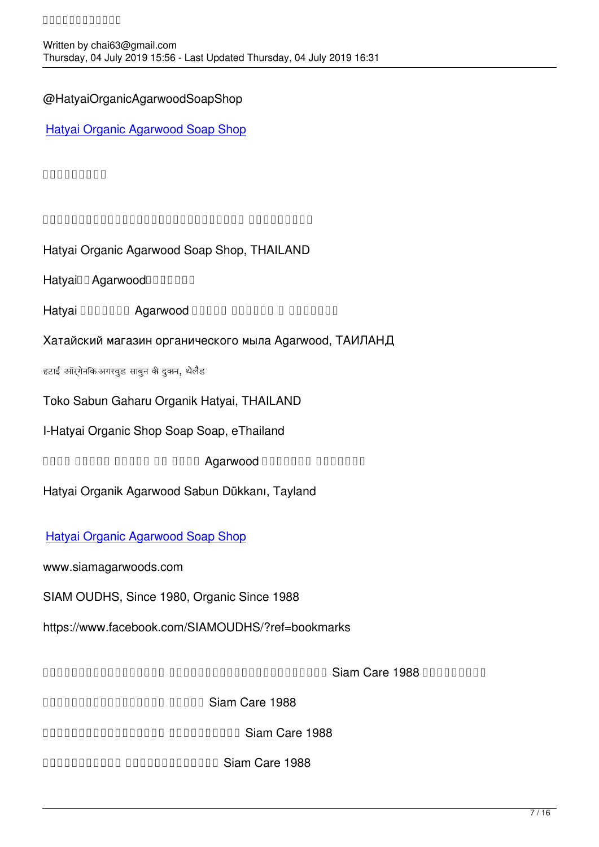# @HatyaiOrganicAgarwoodSoapShop

Hatyai Organic Agarwood Soap Shop

# [๙๙๙๙๙๙๙๙๙](https://www.facebook.com/media/set/?set=a.2554456584579115&type=3&__xts__%5B0%5D=68.ARAj4AS_66qj9BCtW46lKf5_m-IFRqNrDbjOunz9huX0-Q7Yvnvt4_bx8lh60rOYQeHmrhkNlIsdUFmLGT814t8hXxxjs2qCONaU6NszrCLXnt7-09Gd2ws5vyxz8DA5QPA-7qXwr6DXATekYOof6_SHpBlz6p065sPnAD8MaQSaGt8_WhttnZ1PaVhqqyo5C5scv-2y1bdki7AZNmcSkcPAPRbqyOwqNWyvvS41FJlqmSPFL2lu5SEPeYDHUEDZq6B3UDNQSOKtCKib4uHEqcOj_bJHGURYsGJLRm7bAviye1TM5SN4W7JBd3mEXr8aqDW65f5z2opbbMejtNgBo8tjIZHV3IqCUUDNpNVXWobI4Ac39sLU4rJdoOXLSVj7xP4KRHhOxevtRwWF-zlm5HrEj6mU7LIXCuakPbxtP4JkbQWA94LgUtSbSiL0r8lNEV9vCRTEJOpkCQ8&__tn__=-UC-R)

กกกกกกกกกกกกกกกกกกกกกกกกกกกกกกกก

Hatyai Organic Agarwood Soap Shop, THAILAND

Hatyainn Agarwood

Hatyai DOODOO Agarwood DOODO DOODOO O DOODOO

Хатайский магазин органического мыла Agarwood, ТАИЛАНД

हटाई ऑर्गेनिक अगरवुड साबुन की दुकान, थेलैंड

Toko Sabun Gaharu Organik Hatyai, THAILAND

I-Hatyai Organic Shop Soap Soap, eThailand

ando dood dood oo dood Agarwood Doodoo agaan aan ah saar ka saar wad doodoo ah aan ah saar ah caasa saar ah s

Hatyai Organik Agarwood Sabun Dükkanı, Tayland

## Hatyai Organic Agarwood Soap Shop

www.siamagarwoods.com

[SIAM OUDHS, Since 1980, Organic S](https://www.facebook.com/media/set/?set=a.2554456584579115&type=3&__xts__%5B0%5D=68.ARAj4AS_66qj9BCtW46lKf5_m-IFRqNrDbjOunz9huX0-Q7Yvnvt4_bx8lh60rOYQeHmrhkNlIsdUFmLGT814t8hXxxjs2qCONaU6NszrCLXnt7-09Gd2ws5vyxz8DA5QPA-7qXwr6DXATekYOof6_SHpBlz6p065sPnAD8MaQSaGt8_WhttnZ1PaVhqqyo5C5scv-2y1bdki7AZNmcSkcPAPRbqyOwqNWyvvS41FJlqmSPFL2lu5SEPeYDHUEDZq6B3UDNQSOKtCKib4uHEqcOj_bJHGURYsGJLRm7bAviye1TM5SN4W7JBd3mEXr8aqDW65f5z2opbbMejtNgBo8tjIZHV3IqCUUDNpNVXWobI4Ac39sLU4rJdoOXLSVj7xP4KRHhOxevtRwWF-zlm5HrEj6mU7LIXCuakPbxtP4JkbQWA94LgUtSbSiL0r8lNEV9vCRTEJOpkCQ8&__tn__=-UC-R)ince 1988

https://www.facebook.com/SIAMOUDHS/?ref=bookmarks

ผู้ผลิตและจำหน่าย ผลิตภัณฑ์อินทรีย์ทำมือ Siam Care 1988 อันได้แก่

and and allowed the Union Care 1988

 $\Box$ 

น้ำมันทาผิว อินทรีย์ทำมือ Siam Care 1988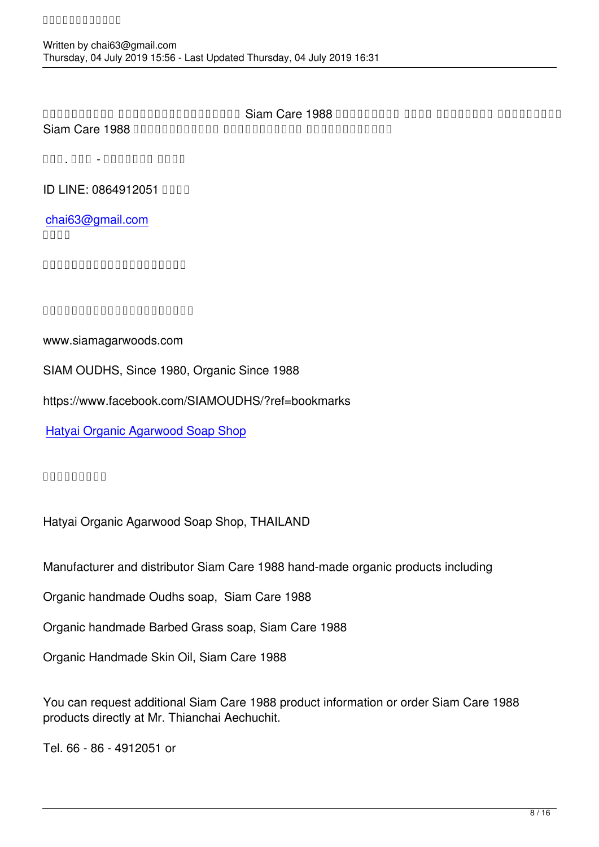ทศทศทศทศทศ ทศทศทศทศทศทศทศทศ Siam Care 1988 กฎกฎกภาคก กฎกฎ กฎกฎกฎกฎกฎกฎหา Siam Care 1988 DRO DROIDED NO DROIDED IN DROIDED IN Care 1988 DROIDED IN DROIDED IN DROIDED IN CONTROLLER

โทร. ๐๘๖ - ๔๙๑๒๐๕๑ หรือ

**ID LINE: 0864912051 BRITE** 

chai63@gmail.com  $n$ 

ทิทกิทกิทกิทกิทกิทกิทกิท

ที่ ที่มีคุณคุณคุณคุณคุณคุณ เติมได้

www.siamagarwoods.com

SIAM OUDHS, Since 1980, Organic Since 1988

https://www.facebook.com/SIAMOUDHS/?ref=bookmarks

Hatyai Organic Agarwood Soap Shop

[๙๙๙๙๙๙๙๙๙](https://www.facebook.com/media/set/?set=a.2554456584579115&type=3&__xts__%5B0%5D=68.ARAj4AS_66qj9BCtW46lKf5_m-IFRqNrDbjOunz9huX0-Q7Yvnvt4_bx8lh60rOYQeHmrhkNlIsdUFmLGT814t8hXxxjs2qCONaU6NszrCLXnt7-09Gd2ws5vyxz8DA5QPA-7qXwr6DXATekYOof6_SHpBlz6p065sPnAD8MaQSaGt8_WhttnZ1PaVhqqyo5C5scv-2y1bdki7AZNmcSkcPAPRbqyOwqNWyvvS41FJlqmSPFL2lu5SEPeYDHUEDZq6B3UDNQSOKtCKib4uHEqcOj_bJHGURYsGJLRm7bAviye1TM5SN4W7JBd3mEXr8aqDW65f5z2opbbMejtNgBo8tjIZHV3IqCUUDNpNVXWobI4Ac39sLU4rJdoOXLSVj7xP4KRHhOxevtRwWF-zlm5HrEj6mU7LIXCuakPbxtP4JkbQWA94LgUtSbSiL0r8lNEV9vCRTEJOpkCQ8&__tn__=-UC-R)

Hatyai Organic Agarwood Soap Shop, THAILAND

Manufacturer and distributor Siam Care 1988 hand-made organic products including

Organic handmade Oudhs soap, Siam Care 1988

Organic handmade Barbed Grass soap, Siam Care 1988

Organic Handmade Skin Oil, Siam Care 1988

You can request additional Siam Care 1988 product information or order Siam Care 1988 products directly at Mr. Thianchai Aechuchit.

Tel. 66 - 86 - 4912051 or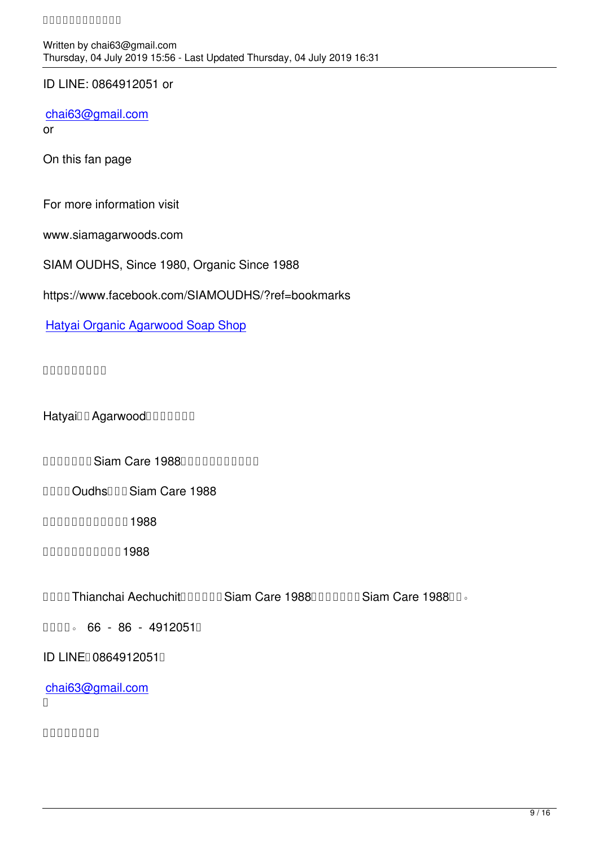ID LINE: 0864912051 or

chai63@gmail.com

or

[On this fan page](mailto:chai63@gmail.com)

For more information visit

www.siamagarwoods.com

SIAM OUDHS, Since 1980, Organic Since 1988

https://www.facebook.com/SIAMOUDHS/?ref=bookmarks

Hatyai Organic Agarwood Soap Shop

### [๙๙๙๙๙๙๙๙๙](https://www.facebook.com/media/set/?set=a.2554456584579115&type=3&__xts__%5B0%5D=68.ARAj4AS_66qj9BCtW46lKf5_m-IFRqNrDbjOunz9huX0-Q7Yvnvt4_bx8lh60rOYQeHmrhkNlIsdUFmLGT814t8hXxxjs2qCONaU6NszrCLXnt7-09Gd2ws5vyxz8DA5QPA-7qXwr6DXATekYOof6_SHpBlz6p065sPnAD8MaQSaGt8_WhttnZ1PaVhqqyo5C5scv-2y1bdki7AZNmcSkcPAPRbqyOwqNWyvvS41FJlqmSPFL2lu5SEPeYDHUEDZq6B3UDNQSOKtCKib4uHEqcOj_bJHGURYsGJLRm7bAviye1TM5SN4W7JBd3mEXr8aqDW65f5z2opbbMejtNgBo8tjIZHV3IqCUUDNpNVXWobI4Ac39sLU4rJdoOXLSVj7xP4KRHhOxevtRwWF-zlm5HrEj6mU7LIXCuakPbxtP4JkbQWA94LgUtSbSiL0r8lNEV9vCRTEJOpkCQ8&__tn__=-UC-R)

Hatyainn Agarwood

DEN DIAN DIANGLE OF STREET STATED THAT THE REPORT OF THE BUILDING.

**DOUD OudhsIDD Siam Care 1988** 

 $n$ חחחחחחחחחח $1988$ 

 $n$ nnnnnnnnn 1988

DOOD Thianchai AechuchitDOODD Siam Care 1988DDDDDD Siam Care 1988DD.

 $\Box$  $\Box$  $\Box$  $\Box$  66 - 86 - 4912051 $\Box$ 

ID LINED 0864912051D

chai63@gmail.com  $\Box$ 

 $n$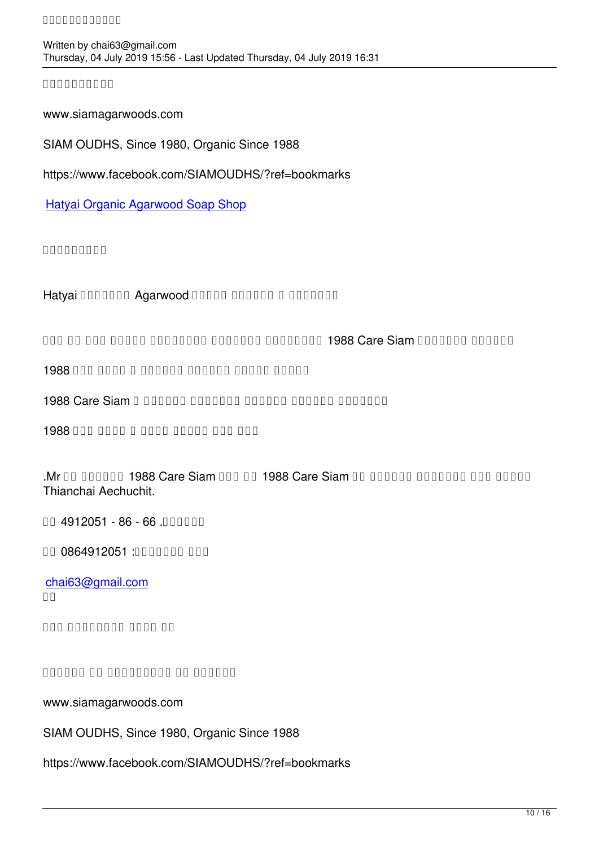written by chaif  $\mathcal{L}$  and  $\mathcal{L}$  and  $\mathcal{L}$  and  $\mathcal{L}$  and  $\mathcal{L}$  and  $\mathcal{L}$  and  $\mathcal{L}$  and  $\mathcal{L}$  and  $\mathcal{L}$  and  $\mathcal{L}$  and  $\mathcal{L}$  and  $\mathcal{L}$  and  $\mathcal{L}$  and  $\mathcal{L}$  and  $\mathcal{L}$  and  $\mathcal{L}$  a Thursday, 04 July 2019 15:56 - Last Updated Thursday, 04 July 2019 16:31

 $000000000$ 

www.siamagarwoods.com

SIAM OUDHS, Since 1980, Organic Since 1988

https://www.facebook.com/SIAMOUDHS/?ref=bookmarks

Hatyai Organic Agarwood Soap Shop

[๙๙๙๙๙๙๙๙๙](https://www.facebook.com/media/set/?set=a.2554456584579115&type=3&__xts__%5B0%5D=68.ARAj4AS_66qj9BCtW46lKf5_m-IFRqNrDbjOunz9huX0-Q7Yvnvt4_bx8lh60rOYQeHmrhkNlIsdUFmLGT814t8hXxxjs2qCONaU6NszrCLXnt7-09Gd2ws5vyxz8DA5QPA-7qXwr6DXATekYOof6_SHpBlz6p065sPnAD8MaQSaGt8_WhttnZ1PaVhqqyo5C5scv-2y1bdki7AZNmcSkcPAPRbqyOwqNWyvvS41FJlqmSPFL2lu5SEPeYDHUEDZq6B3UDNQSOKtCKib4uHEqcOj_bJHGURYsGJLRm7bAviye1TM5SN4W7JBd3mEXr8aqDW65f5z2opbbMejtNgBo8tjIZHV3IqCUUDNpNVXWobI4Ac39sLU4rJdoOXLSVj7xP4KRHhOxevtRwWF-zlm5HrEj6mU7LIXCuakPbxtP4JkbQWA94LgUtSbSiL0r8lNEV9vCRTEJOpkCQ8&__tn__=-UC-R)

Hatyai DOODOOD Agarwood DOODO DOODOO O DOODOOD

and an ona aanaa aanaana aanaana noonaan 1988 Care Siam aanaan aanaan

صابون العود اليدوي العضوي ، صيام كير 1988

1988 Care Siam D DROMAN DROMAN DROMAN DROMAN DROMAN

زيت جلد طبيعي عضوي ، صيام كير 1988

 $\mathbf{M}$ r do doodoo 1988 Care Siam doo do 1988 Care Siam do doodoo doodoo doo doodo Thianchai Aechuchit.

**DR** 4912051 - 86 - 66 **DRA** 10

رقم التعريف: 0864912051 أو

chai63@gmail.com  $\Box$ 

onn nonnnnnn no

ورومات من المواسط في المعلومات المعلومات

www.siamagarwoods.com

SIAM OUDHS, Since 1980, Organic Since 1988

https://www.facebook.com/SIAMOUDHS/?ref=bookmarks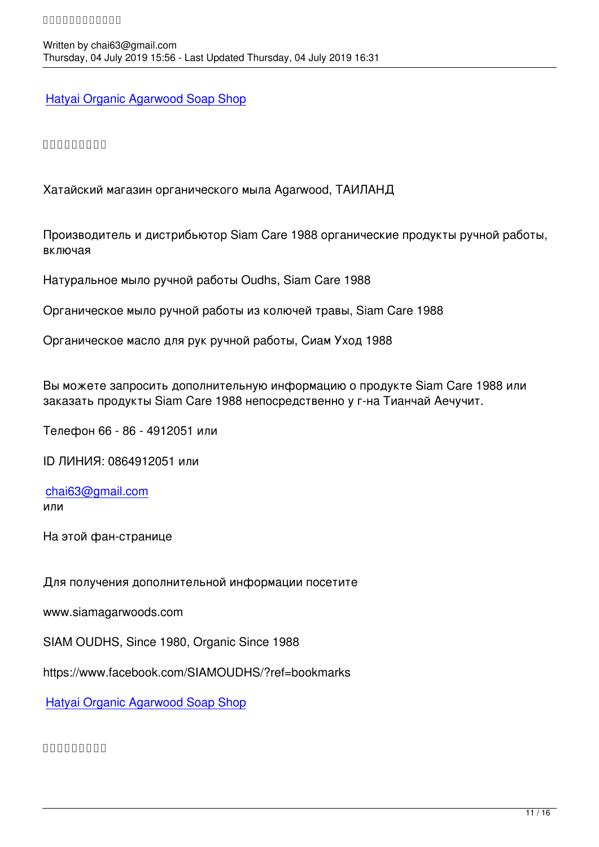Hatyai Organic Agarwood Soap Shop

### [๙๙๙๙๙๙๙๙๙](https://www.facebook.com/media/set/?set=a.2554456584579115&type=3&__xts__%5B0%5D=68.ARAj4AS_66qj9BCtW46lKf5_m-IFRqNrDbjOunz9huX0-Q7Yvnvt4_bx8lh60rOYQeHmrhkNlIsdUFmLGT814t8hXxxjs2qCONaU6NszrCLXnt7-09Gd2ws5vyxz8DA5QPA-7qXwr6DXATekYOof6_SHpBlz6p065sPnAD8MaQSaGt8_WhttnZ1PaVhqqyo5C5scv-2y1bdki7AZNmcSkcPAPRbqyOwqNWyvvS41FJlqmSPFL2lu5SEPeYDHUEDZq6B3UDNQSOKtCKib4uHEqcOj_bJHGURYsGJLRm7bAviye1TM5SN4W7JBd3mEXr8aqDW65f5z2opbbMejtNgBo8tjIZHV3IqCUUDNpNVXWobI4Ac39sLU4rJdoOXLSVj7xP4KRHhOxevtRwWF-zlm5HrEj6mU7LIXCuakPbxtP4JkbQWA94LgUtSbSiL0r8lNEV9vCRTEJOpkCQ8&__tn__=-UC-R)

Хатайский магазин органического мыла Agarwood, ТАИЛАНД

Производитель и дистрибьютор Siam Care 1988 органические продукты ручной работы, включая

Натуральное мыло ручной работы Oudhs, Siam Care 1988

Органическое мыло ручной работы из колючей травы, Siam Care 1988

Органическое масло для рук ручной работы, Сиам Уход 1988

Вы можете запросить дополнительную информацию о продукте Siam Care 1988 или заказать продукты Siam Care 1988 непосредственно у г-на Тианчай Аечучит.

Телефон 66 - 86 - 4912051 или

ID ЛИНИЯ: 0864912051 или

chai63@gmail.com или

[На этой фан-стран](mailto:chai63@gmail.com)ице

Для получения дополнительной информации посетите

www.siamagarwoods.com

SIAM OUDHS, Since 1980, Organic Since 1988

https://www.facebook.com/SIAMOUDHS/?ref=bookmarks

Hatyai Organic Agarwood Soap Shop

[๙๙๙๙๙๙๙๙๙](https://www.facebook.com/media/set/?set=a.2554456584579115&type=3&__xts__%5B0%5D=68.ARAj4AS_66qj9BCtW46lKf5_m-IFRqNrDbjOunz9huX0-Q7Yvnvt4_bx8lh60rOYQeHmrhkNlIsdUFmLGT814t8hXxxjs2qCONaU6NszrCLXnt7-09Gd2ws5vyxz8DA5QPA-7qXwr6DXATekYOof6_SHpBlz6p065sPnAD8MaQSaGt8_WhttnZ1PaVhqqyo5C5scv-2y1bdki7AZNmcSkcPAPRbqyOwqNWyvvS41FJlqmSPFL2lu5SEPeYDHUEDZq6B3UDNQSOKtCKib4uHEqcOj_bJHGURYsGJLRm7bAviye1TM5SN4W7JBd3mEXr8aqDW65f5z2opbbMejtNgBo8tjIZHV3IqCUUDNpNVXWobI4Ac39sLU4rJdoOXLSVj7xP4KRHhOxevtRwWF-zlm5HrEj6mU7LIXCuakPbxtP4JkbQWA94LgUtSbSiL0r8lNEV9vCRTEJOpkCQ8&__tn__=-UC-R)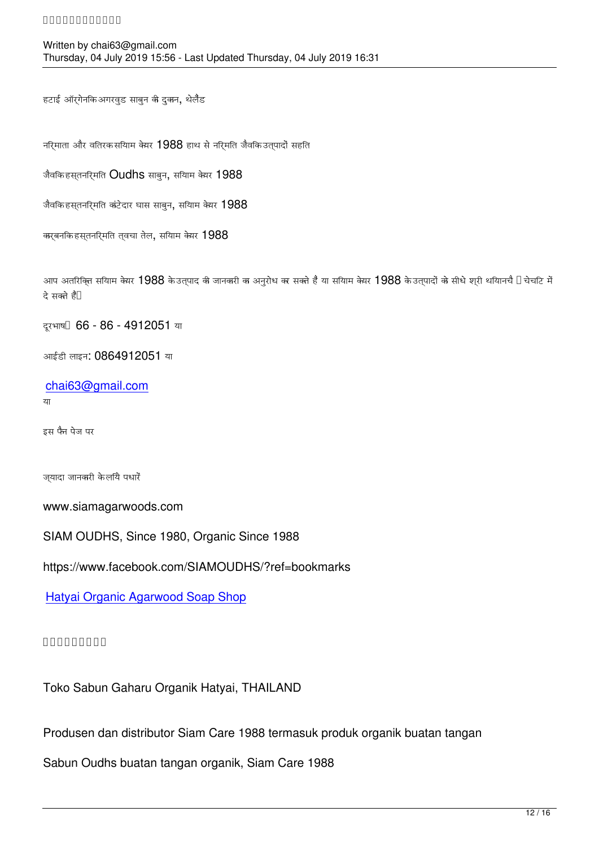हटाई ऑर्गेनिक अगरवुड साबुन की दुकान, थेलैंड

निर्माता और वितरक सियाम केयर 1988 हाथ से निर्मित जैविक उत्पादों सहित

जैवकि हसतनरिमति  $O$ udhs साबन, सयािम केयर 1988

जैवकि हस्**तनर्िमति कांटेदार घास साबुन, सयािम** केयर 1988

कार्बनकि हसतनरिमति तवचा तेल, सयािम केयर  $1988$ 

आप अतरिक्ति सयािम केयर  $1988$  के उतुपाद की जानकरी का अनुरोध कर सकते है या सयािम केयर  $1988$  के उतुपादों को सीधे शुरी थयािनचै  $\Box$  चेचटि में दे सकते हैं।

दूरभाष। 66 - 86 - 4912051 या

आईडी लाइन: 0864912051 या

chai63@gmail.com

या

[इस फैन पेज पर](mailto:chai63@gmail.com)

ज्यादा जानकारी के लिये पधारें

www.siamagarwoods.com

SIAM OUDHS, Since 1980, Organic Since 1988

https://www.facebook.com/SIAMOUDHS/?ref=bookmarks

Hatyai Organic Agarwood Soap Shop

#### [๙๙๙๙๙๙๙๙๙](https://www.facebook.com/media/set/?set=a.2554456584579115&type=3&__xts__%5B0%5D=68.ARAj4AS_66qj9BCtW46lKf5_m-IFRqNrDbjOunz9huX0-Q7Yvnvt4_bx8lh60rOYQeHmrhkNlIsdUFmLGT814t8hXxxjs2qCONaU6NszrCLXnt7-09Gd2ws5vyxz8DA5QPA-7qXwr6DXATekYOof6_SHpBlz6p065sPnAD8MaQSaGt8_WhttnZ1PaVhqqyo5C5scv-2y1bdki7AZNmcSkcPAPRbqyOwqNWyvvS41FJlqmSPFL2lu5SEPeYDHUEDZq6B3UDNQSOKtCKib4uHEqcOj_bJHGURYsGJLRm7bAviye1TM5SN4W7JBd3mEXr8aqDW65f5z2opbbMejtNgBo8tjIZHV3IqCUUDNpNVXWobI4Ac39sLU4rJdoOXLSVj7xP4KRHhOxevtRwWF-zlm5HrEj6mU7LIXCuakPbxtP4JkbQWA94LgUtSbSiL0r8lNEV9vCRTEJOpkCQ8&__tn__=-UC-R)

Toko Sabun Gaharu Organik Hatyai, THAILAND

Produsen dan distributor Siam Care 1988 termasuk produk organik buatan tangan

Sabun Oudhs buatan tangan organik, Siam Care 1988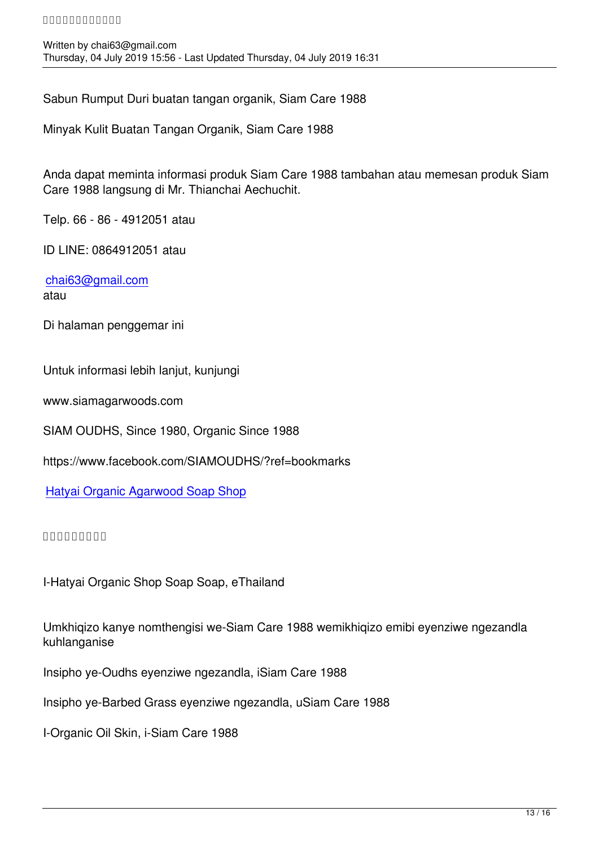Sabun Rumput Duri buatan tangan organik, Siam Care 1988

Minyak Kulit Buatan Tangan Organik, Siam Care 1988

Anda dapat meminta informasi produk Siam Care 1988 tambahan atau memesan produk Siam Care 1988 langsung di Mr. Thianchai Aechuchit.

Telp. 66 - 86 - 4912051 atau

ID LINE: 0864912051 atau

chai63@gmail.com atau

[Di halaman penggem](mailto:chai63@gmail.com)ar ini

Untuk informasi lebih lanjut, kunjungi

www.siamagarwoods.com

SIAM OUDHS, Since 1980, Organic Since 1988

https://www.facebook.com/SIAMOUDHS/?ref=bookmarks

Hatyai Organic Agarwood Soap Shop

#### [๙๙๙๙๙๙๙๙๙](https://www.facebook.com/media/set/?set=a.2554456584579115&type=3&__xts__%5B0%5D=68.ARAj4AS_66qj9BCtW46lKf5_m-IFRqNrDbjOunz9huX0-Q7Yvnvt4_bx8lh60rOYQeHmrhkNlIsdUFmLGT814t8hXxxjs2qCONaU6NszrCLXnt7-09Gd2ws5vyxz8DA5QPA-7qXwr6DXATekYOof6_SHpBlz6p065sPnAD8MaQSaGt8_WhttnZ1PaVhqqyo5C5scv-2y1bdki7AZNmcSkcPAPRbqyOwqNWyvvS41FJlqmSPFL2lu5SEPeYDHUEDZq6B3UDNQSOKtCKib4uHEqcOj_bJHGURYsGJLRm7bAviye1TM5SN4W7JBd3mEXr8aqDW65f5z2opbbMejtNgBo8tjIZHV3IqCUUDNpNVXWobI4Ac39sLU4rJdoOXLSVj7xP4KRHhOxevtRwWF-zlm5HrEj6mU7LIXCuakPbxtP4JkbQWA94LgUtSbSiL0r8lNEV9vCRTEJOpkCQ8&__tn__=-UC-R)

I-Hatyai Organic Shop Soap Soap, eThailand

Umkhiqizo kanye nomthengisi we-Siam Care 1988 wemikhiqizo emibi eyenziwe ngezandla kuhlanganise

Insipho ye-Oudhs eyenziwe ngezandla, iSiam Care 1988

Insipho ye-Barbed Grass eyenziwe ngezandla, uSiam Care 1988

I-Organic Oil Skin, i-Siam Care 1988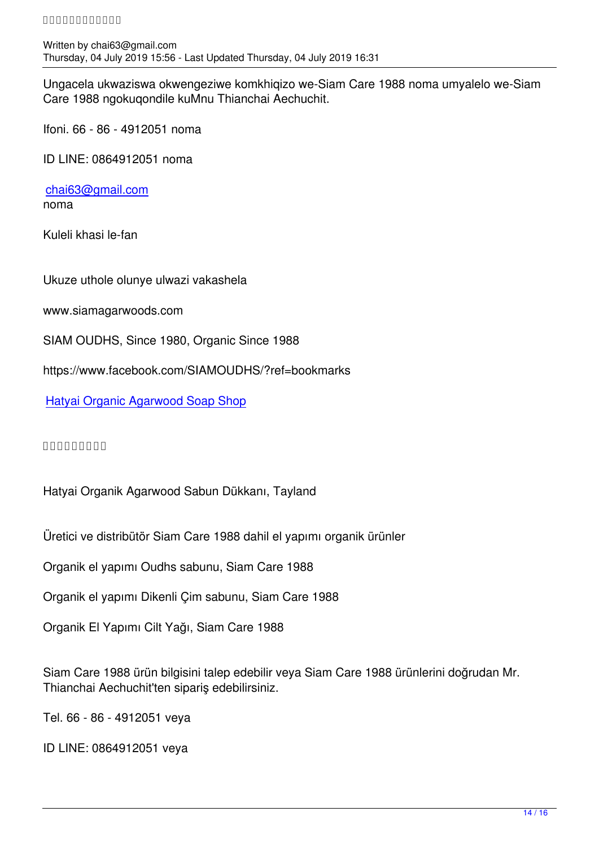Ungacela ukwaziswa okwengeziwe komkhiqizo we-Siam Care 1988 noma umyalelo we-Siam Care 1988 ngokuqondile kuMnu Thianchai Aechuchit.

Ifoni. 66 - 86 - 4912051 noma

ID LINE: 0864912051 noma

chai63@gmail.com noma

[Kuleli khasi le-fan](mailto:chai63@gmail.com)

Ukuze uthole olunye ulwazi vakashela

www.siamagarwoods.com

SIAM OUDHS, Since 1980, Organic Since 1988

https://www.facebook.com/SIAMOUDHS/?ref=bookmarks

Hatyai Organic Agarwood Soap Shop

[๙๙๙๙๙๙๙๙๙](https://www.facebook.com/media/set/?set=a.2554456584579115&type=3&__xts__%5B0%5D=68.ARAj4AS_66qj9BCtW46lKf5_m-IFRqNrDbjOunz9huX0-Q7Yvnvt4_bx8lh60rOYQeHmrhkNlIsdUFmLGT814t8hXxxjs2qCONaU6NszrCLXnt7-09Gd2ws5vyxz8DA5QPA-7qXwr6DXATekYOof6_SHpBlz6p065sPnAD8MaQSaGt8_WhttnZ1PaVhqqyo5C5scv-2y1bdki7AZNmcSkcPAPRbqyOwqNWyvvS41FJlqmSPFL2lu5SEPeYDHUEDZq6B3UDNQSOKtCKib4uHEqcOj_bJHGURYsGJLRm7bAviye1TM5SN4W7JBd3mEXr8aqDW65f5z2opbbMejtNgBo8tjIZHV3IqCUUDNpNVXWobI4Ac39sLU4rJdoOXLSVj7xP4KRHhOxevtRwWF-zlm5HrEj6mU7LIXCuakPbxtP4JkbQWA94LgUtSbSiL0r8lNEV9vCRTEJOpkCQ8&__tn__=-UC-R)

Hatyai Organik Agarwood Sabun Dükkanı, Tayland

Üretici ve distribütör Siam Care 1988 dahil el yapımı organik ürünler

Organik el yapımı Oudhs sabunu, Siam Care 1988

Organik el yapımı Dikenli Çim sabunu, Siam Care 1988

Organik El Yapımı Cilt Yağı, Siam Care 1988

Siam Care 1988 ürün bilgisini talep edebilir veya Siam Care 1988 ürünlerini doğrudan Mr. Thianchai Aechuchit'ten sipariş edebilirsiniz.

Tel. 66 - 86 - 4912051 veya

ID LINE: 0864912051 veya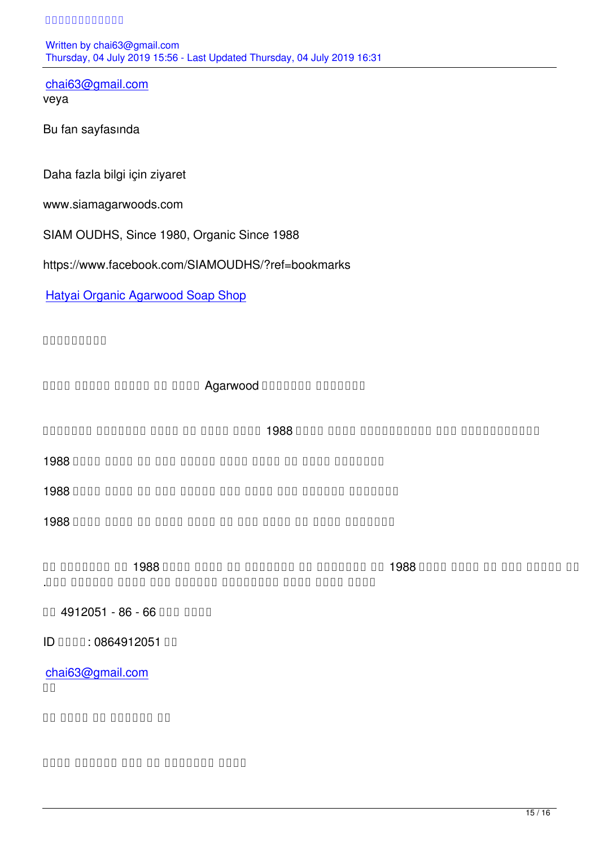chai63@gmail.com veya

[Bu fan sayfasında](mailto:chai63@gmail.com)

Daha fazla bilgi için ziyaret

www.siamagarwoods.com

SIAM OUDHS, Since 1980, Organic Since 1988

https://www.facebook.com/SIAMOUDHS/?ref=bookmarks

Hatyai Organic Agarwood Soap Shop

[๙๙๙๙๙๙๙๙๙](https://www.facebook.com/media/set/?set=a.2554456584579115&type=3&__xts__%5B0%5D=68.ARAj4AS_66qj9BCtW46lKf5_m-IFRqNrDbjOunz9huX0-Q7Yvnvt4_bx8lh60rOYQeHmrhkNlIsdUFmLGT814t8hXxxjs2qCONaU6NszrCLXnt7-09Gd2ws5vyxz8DA5QPA-7qXwr6DXATekYOof6_SHpBlz6p065sPnAD8MaQSaGt8_WhttnZ1PaVhqqyo5C5scv-2y1bdki7AZNmcSkcPAPRbqyOwqNWyvvS41FJlqmSPFL2lu5SEPeYDHUEDZq6B3UDNQSOKtCKib4uHEqcOj_bJHGURYsGJLRm7bAviye1TM5SN4W7JBd3mEXr8aqDW65f5z2opbbMejtNgBo8tjIZHV3IqCUUDNpNVXWobI4Ac39sLU4rJdoOXLSVj7xP4KRHhOxevtRwWF-zlm5HrEj6mU7LIXCuakPbxtP4JkbQWA94LgUtSbSiL0r8lNEV9vCRTEJOpkCQ8&__tn__=-UC-R)

ando dondo dondo do dondo Agarwood Dondono dondono

and and the time sum of the control of the control of the sum that we are also and an appropriate model in the

1988 התחתם מתחם החתם המחת המחתם מתחם החתם 1988

1988 התחת מחחם מחחם מחחם מחחם מחחם מחדש ב-1988 התחת מ-1988 התחת השו

1988 התחת מתחמים השם המתחת המתחת המשתמש המתחת 1988 התחת החל 1988  $\alpha$ 

<u>آپ استعمال میں המחם החחם 1988 הם המחחם הם המחחם הם החחם החמה 1988 הם החחם הח</u> براہ مسٹر مسٹر مسٹر مسٹر میں آرڈر کرسکتے ہیں. آرڈر کرسکتے ہیں.

ٹیلی فون 66 - 86 - 4912051 یا

یا 0864912051 :لائن ID

chai63@gmail.com  $\Box$ 

nn nnnn nn nnnnn nn

مزید معلومات کے لئے ملاحظہ کریں